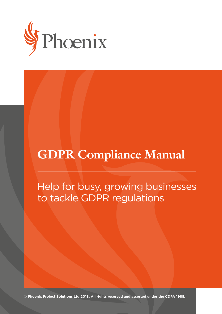

# **GDPR Compliance Manual**

Help for busy, growing businesses to tackle GDPR regulations

**© Phoenix Project Solutions Ltd 2018. All rights reserved and asserted under the CDPA 1988.**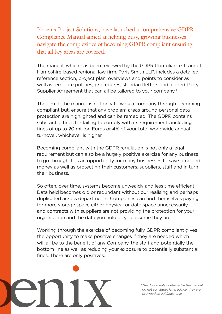Phoenix Project Solutions, have launched a comprehensive GDPR Compliance Manual aimed at helping busy, growing businesses navigate the complexities of becoming GDPR compliant ensuring that all key areas are covered.

The manual, which has been reviewed by the GDPR Compliance Team of Hampshire-based regional law firm, Paris Smith LLP, includes a detailed reference section, project plan, overviews and points to consider as well as template policies, procedures, standard letters and a Third Party Supplier Agreement that can all be tailored to your company.<sup>\*</sup>

The aim of the manual is not only to walk a company through becoming compliant but, ensure that any problem areas around personal data protection are highlighted and can be remedied. The GDPR contains substantial fines for failing to comply with its requirements including fines of up to 20 million Euros or 4% of your total worldwide annual turnover, whichever is higher.

Becoming compliant with the GDPR regulation is not only a legal requirement but can also be a hugely positive exercise for any business to go through. It is an opportunity for many businesses to save time and money as well as protecting their customers, suppliers, staff and in turn their business.

So often, over time, systems become unwealdy and less time efficient. Data held becomes old or redundant without our realising and perhaps duplicated across departments. Companies can find themselves paying for more storage space either physical or data space unnecessarily and contracts with suppliers are not providing the protection for your organisation and the data you hold as you assume they are.

Working through the exercise of becoming fully GDPR compliant gives the opportunity to make positive changes if they are needed which will all be to the benefit of any Company, the staff and potentially the bottom line as well as reducing your exposure to potentially substantial fines. There are only positives.

*\* The documents contained in the manual do not constitute legal advice, they are provided as guidance only.*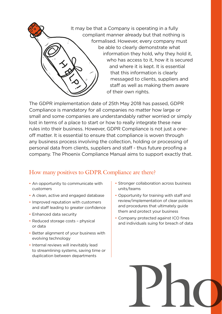

The GDPR implementation date of 25th May 2018 has passed, GDPR Compliance is mandatory for all companies no matter how large or small and some companies are understandably rather worried or simply lost in terms of a place to start or how to really integrate these new rules into their business. However, GDPR Compliance is not just a oneoff matter. It is essential to ensure that compliance is woven through any business process involving the collection, holding or processing of personal data from clients, suppliers and staff - thus future proofing a company. The Phoenix Compliance Manual aims to support exactly that.

### How many positives to GDPR Compliance are there?

- An opportunity to communicate with customers
- A clean, active and engaged database
- Improved reputation with customers and staff leading to greater confidence
- Enhanced data security
- Reduced storage costs physical or data
- Better alignment of your business with evolving technology
- Internal reviews will inevitably lead to streamlining systems, saving time or duplication between departments
- Stronger collaboration across business units/teams
- Opportunity for training with staff and review/implementation of clear policies and procedures that ultimately guide them and protect your business
- Company protected against ICO fines and individuals suing for breach of data